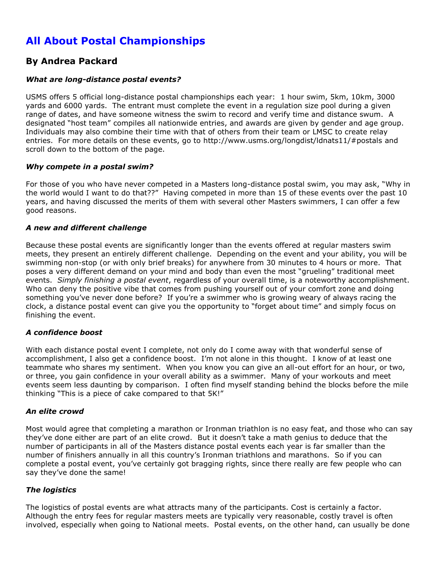# **All About Postal Championships**

# **By Andrea Packard**

# *What are long-distance postal events?*

USMS offers 5 official long-distance postal championships each year: 1 hour swim, 5km, 10km, 3000 yards and 6000 yards. The entrant must complete the event in a regulation size pool during a given range of dates, and have someone witness the swim to record and verify time and distance swum. A designated "host team" compiles all nationwide entries, and awards are given by gender and age group. Individuals may also combine their time with that of others from their team or LMSC to create relay entries. For more details on these events, go to http://www.usms.org/longdist/ldnats11/#postals and scroll down to the bottom of the page.

#### *Why compete in a postal swim?*

For those of you who have never competed in a Masters long-distance postal swim, you may ask, "Why in the world would I want to do that??" Having competed in more than 15 of these events over the past 10 years, and having discussed the merits of them with several other Masters swimmers, I can offer a few good reasons.

# *A new and different challenge*

Because these postal events are significantly longer than the events offered at regular masters swim meets, they present an entirely different challenge. Depending on the event and your ability, you will be swimming non-stop (or with only brief breaks) for anywhere from 30 minutes to 4 hours or more. That poses a very different demand on your mind and body than even the most "grueling" traditional meet events. *Simply finishing a postal event*, regardless of your overall time, is a noteworthy accomplishment. Who can deny the positive vibe that comes from pushing yourself out of your comfort zone and doing something you've never done before? If you're a swimmer who is growing weary of always racing the clock, a distance postal event can give you the opportunity to "forget about time" and simply focus on finishing the event.

# *A confidence boost*

With each distance postal event I complete, not only do I come away with that wonderful sense of accomplishment, I also get a confidence boost. I'm not alone in this thought. I know of at least one teammate who shares my sentiment. When you know you can give an all-out effort for an hour, or two, or three, you gain confidence in your overall ability as a swimmer. Many of your workouts and meet events seem less daunting by comparison. I often find myself standing behind the blocks before the mile thinking "This is a piece of cake compared to that 5K!"

#### *An elite crowd*

Most would agree that completing a marathon or Ironman triathlon is no easy feat, and those who can say they've done either are part of an elite crowd. But it doesn't take a math genius to deduce that the number of participants in all of the Masters distance postal events each year is far smaller than the number of finishers annually in all this country's Ironman triathlons and marathons. So if you can complete a postal event, you've certainly got bragging rights, since there really are few people who can say they've done the same!

#### *The logistics*

The logistics of postal events are what attracts many of the participants. Cost is certainly a factor. Although the entry fees for regular masters meets are typically very reasonable, costly travel is often involved, especially when going to National meets. Postal events, on the other hand, can usually be done